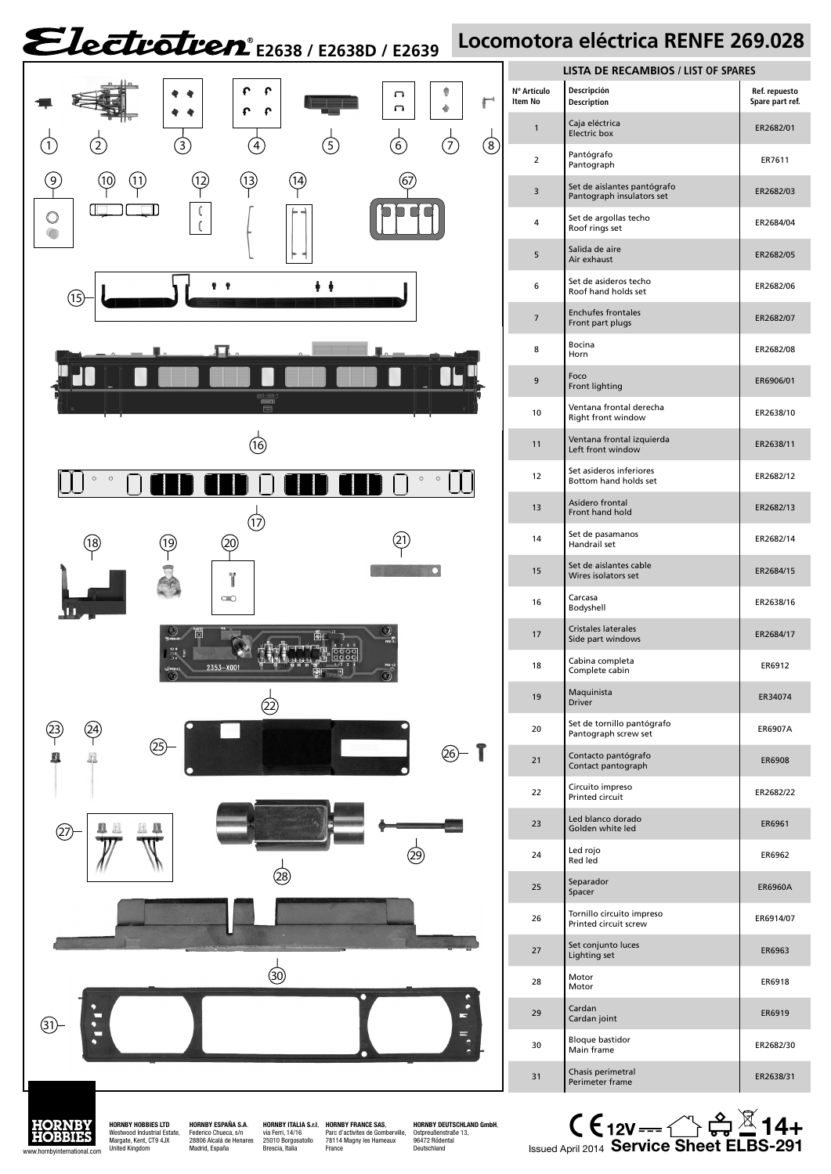## Electrotren<sup>e</sup> E2638 / E2638D / E2639 Locomotora eléctrica RENFE 269.028



Margate, Kent, CT9 4JX United Kingdom

Madrid, España

|                  | <b>LISTA DE RECAMBIOS / LIST OF SPARES</b>               |                                  |
|------------------|----------------------------------------------------------|----------------------------------|
| Artículo<br>m No | Descripción<br><b>Description</b>                        | Ref. repuesto<br>Spare part ref. |
| 1                | Caja eléctrica<br><b>Electric box</b>                    | ER2682/01                        |
| 2                | Pantógrafo<br>Pantograph                                 | ER7611                           |
| 3                | Set de aislantes pantógrafo<br>Pantograph insulators set | ER2682/03                        |
| 4                | Set de argollas techo<br>Roof rings set                  | ER2684/04                        |
| 5                | Salida de aire<br>Air exhaust                            | ER2682/05                        |
| 6                | Set de asideros techo<br>Roof hand holds set             | ER2682/06                        |
| 7                | <b>Enchufes frontales</b><br>Front part plugs            | ER2682/07                        |
| 8                | Bocina<br>Horn                                           | ER2682/08                        |
| 9                | Foco<br>Front lighting                                   | ER6906/01                        |
| 10               | Ventana frontal derecha<br>Right front window            | ER2638/10                        |
| 11               | Ventana frontal izquierda<br>Left front window           | ER2638/11                        |
| 12               | Set asideros inferiores<br>Bottom hand holds set         | ER2682/12                        |
| 13               | Asidero frontal<br>Front hand hold                       | ER2682/13                        |
| 14               | Set de pasamanos<br>Handrail set                         | ER2682/14                        |
| 15               | Set de aislantes cable<br>Wires isolators set            | ER2684/15                        |
| 16               | Carcasa<br>Bodyshell                                     | ER2638/16                        |
| 17               | <b>Cristales laterales</b><br>Side part windows          | ER2684/17                        |
| 18               | Cabina completa<br>Complete cabin                        | ER6912                           |
| 19               | Maquinista<br>Driver                                     | ER34074                          |
| 20               | Set de tornillo pantógrafo<br>Pantograph screw set       | ER6907A                          |
| 21               | Contacto pantógrafo<br>Contact pantograph                | ER6908                           |
| 22               | Circuito impreso<br>Printed circuit                      | ER2682/22                        |
| 23               | Led blanco dorado<br>Golden white led                    | ER6961                           |
| 24               | Led rojo<br>Red led                                      | ER6962                           |
| 25               | Separador<br>Spacer                                      | ER6960A                          |
| 26               | Tornillo circuito impreso<br>Printed circuit screw       | ER6914/07                        |
| 27               | Set conjunto luces<br>Lighting set                       | ER6963                           |
| 28               | Motor<br>Motor                                           | ER6918                           |
| 29               | Cardan<br>Cardan joint                                   | ER6919                           |
| 30               | <b>Bloque bastidor</b><br>Main frame                     | ER2682/30                        |
| 31               | Chasis perimetral<br>Perimeter frame                     | ER2638/31                        |
|                  |                                                          |                                  |

 $\mathsf{CE}_{12\mathsf{V}}\longrightarrow \mathbb{C}$   $\mathbb{G} \mathbb{Z}$ **14+** Issued April 2014 **Service Sheet ELBS-291**